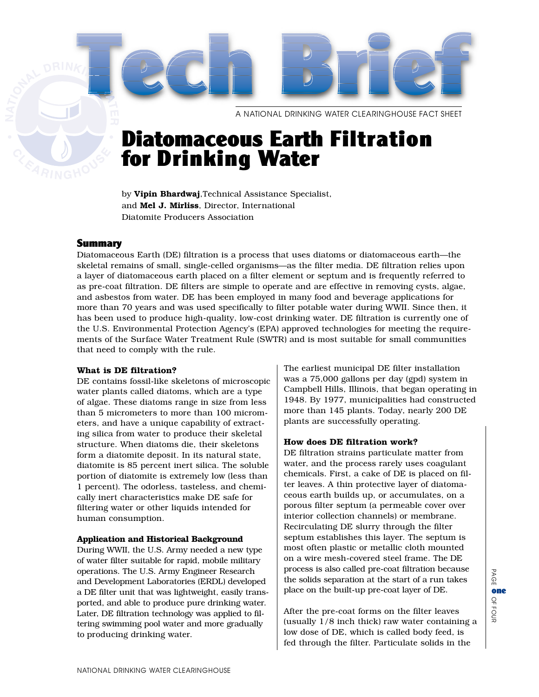A NATIONAL DRINKING WATER CLEARINGHOUSE FACT SHEET

# Diatomaceous Earth Filtration for Drinking Water

by **Vipin Bhardwaj**,Technical Assistance Specialist, and **Mel J. Mirliss**, Director, International Diatomite Producers Association

# Summary

Diatomaceous Earth (DE) filtration is a process that uses diatoms or diatomaceous earth—the skeletal remains of small, single-celled organisms—as the filter media. DE filtration relies upon a layer of diatomaceous earth placed on a filter element or septum and is frequently referred to as pre-coat filtration. DE filters are simple to operate and are effective in removing cysts, algae, and asbestos from water. DE has been employed in many food and beverage applications for more than 70 years and was used specifically to filter potable water during WWII. Since then, it has been used to produce high-quality, low-cost drinking water. DE filtration is currently one of the U.S. Environmental Protection Agency's (EPA) approved technologies for meeting the requirements of the Surface Water Treatment Rule (SWTR) and is most suitable for small communities that need to comply with the rule.

## **What is DE filtration?**

DE contains fossil-like skeletons of microscopic water plants called diatoms, which are a type of algae. These diatoms range in size from less than 5 micrometers to more than 100 micrometers, and have a unique capability of extracting silica from water to produce their skeletal structure. When diatoms die, their skeletons form a diatomite deposit. In its natural state, diatomite is 85 percent inert silica. The soluble portion of diatomite is extremely low (less than 1 percent). The odorless, tasteless, and chemically inert characteristics make DE safe for filtering water or other liquids intended for human consumption.

## **Application and Historical Background**

During WWII, the U.S. Army needed a new type of water filter suitable for rapid, mobile military operations. The U.S. Army Engineer Research and Development Laboratories (ERDL) developed a DE filter unit that was lightweight, easily transported, and able to produce pure drinking water. Later, DE filtration technology was applied to filtering swimming pool water and more gradually to producing drinking water.

The earliest municipal DE filter installation was a 75,000 gallons per day (gpd) system in Campbell Hills, Illinois, that began operating in 1948. By 1977, municipalities had constructed more than 145 plants. Today, nearly 200 DE plants are successfully operating.

## **How does DE filtration work?**

DE filtration strains particulate matter from water, and the process rarely uses coagulant chemicals. First, a cake of DE is placed on filter leaves. A thin protective layer of diatomaceous earth builds up, or accumulates, on a porous filter septum (a permeable cover over interior collection channels) or membrane. Recirculating DE slurry through the filter septum establishes this layer. The septum is most often plastic or metallic cloth mounted on a wire mesh-covered steel frame. The DE process is also called pre-coat filtration because the solids separation at the start of a run takes place on the built-up pre-coat layer of DE.

After the pre-coat forms on the filter leaves (usually 1/8 inch thick) raw water containing a low dose of DE, which is called body feed, is fed through the filter. Particulate solids in the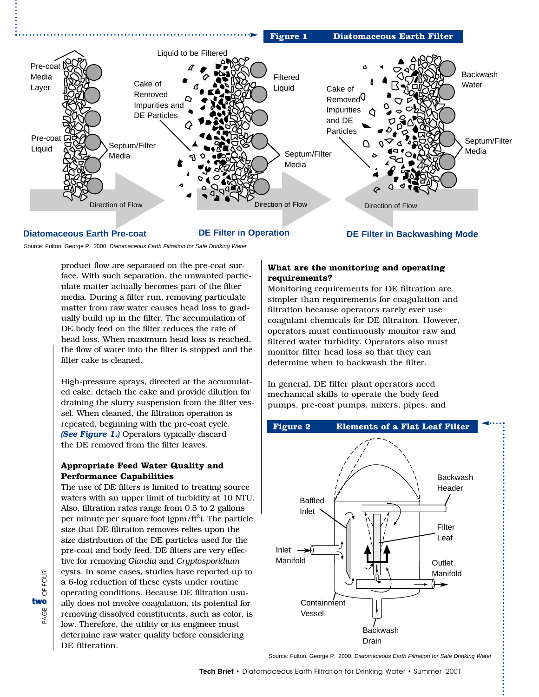

# **Diatomaceous Earth Pre-coat DE Filter in Operation**

**DE Filter in Backwashing Mode**

Source: Fulton, George P. 2000. Diatomaceous Earth Filtration for Safe Drinking Water

product flow are separated on the pre-coat surface. With such separation, the unwanted particulate matter actually becomes part of the filter media. During a filter run, removing particulate matter from raw water causes head loss to gradually build up in the filter. The accumulation of DE body feed on the filter reduces the rate of head loss. When maximum head loss is reached, the flow of water into the filter is stopped and the filter cake is cleaned.

High-pressure sprays, directed at the accumulated cake, detach the cake and provide dilution for draining the slurry suspension from the filter vessel. When cleaned, the filtration operation is repeated, beginning with the pre-coat cycle. *(See Figure 1.)* Operators typically discard the DE removed from the filter leaves.

# **Appropriate Feed Water Quality and Performance Capabilities**

The use of DE filters is limited to treating source waters with an upper limit of turbidity at 10 NTU. Also, filtration rates range from 0.5 to 2 gallons per minute per square foot (gpm/ft<sup>2</sup>). The particle size that DE filtration removes relies upon the size distribution of the DE particles used for the pre-coat and body feed. DE filters are very effective for removing *Giardia* and *Cryptosporidium* cysts. In some cases, studies have reported up to a 6-log reduction of these cysts under routine operating conditions. Because DE filtration usually does not involve coagulation, its potential for removing dissolved constituents, such as color, is low. Therefore, the utility or its engineer must determine raw water quality before considering DE filteration.

# **What are the monitoring and operating requirements?**

Monitoring requirements for DE filtration are simpler than requirements for coagulation and filtration because operators rarely ever use coagulant chemicals for DE filtration. However, operators must continuously monitor raw and filtered water turbidity. Operators also must monitor filter head loss so that they can determine when to backwash the filter.

In general, DE filter plant operators need mechanical skills to operate the body feed pumps, pre-coat pumps, mixers, pipes, and



Source: Fulton, George P. 2000. Diatomaceous Earth Filtration for Safe Drinking Water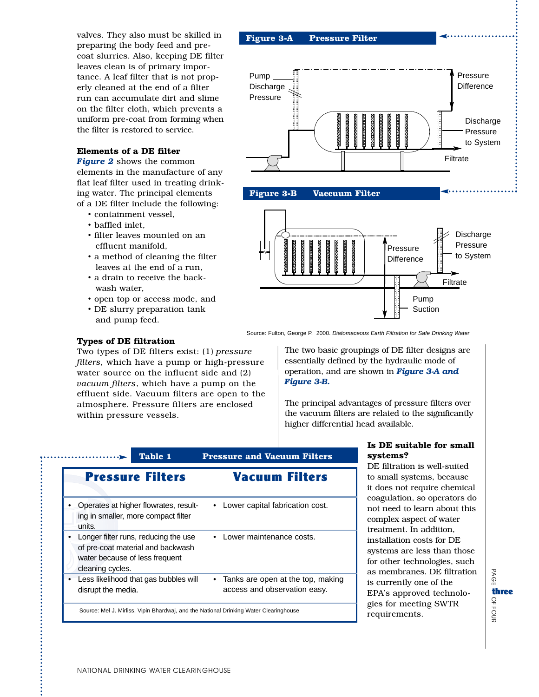valves. They also must be skilled in preparing the body feed and precoat slurries. Also, keeping DE filter leaves clean is of primary importance. A leaf filter that is not properly cleaned at the end of a filter run can accumulate dirt and slime on the filter cloth, which prevents a uniform pre-coat from forming when the filter is restored to service.

#### **Elements of a DE filter**

*Figure 2* shows the common elements in the manufacture of any flat leaf filter used in treating drinking water. The principal elements of a DE filter include the following:

- containment vessel,
- baffled inlet,
- filter leaves mounted on an effluent manifold,
- a method of cleaning the filter leaves at the end of a run,
- a drain to receive the backwash water,
- open top or access mode, and

Two types of DE filters exist: (1) *pressure filters,* which have a pump or high-pressure water source on the influent side and (2) *vacuum filters*, which have a pump on the effluent side. Vacuum filters are open to the atmosphere. Pressure filters are enclosed

• DE slurry preparation tank and pump feed.

**Types of DE filtration**

within pressure vessels.





Source: Fulton, George P. 2000. Diatomaceous Earth Filtration for Safe Drinking Water

The two basic groupings of DE filter designs are essentially defined by the hydraulic mode of operation, and are shown in *Figure 3-A and Figure 3-B.*

The principal advantages of pressure filters over the vacuum filters are related to the significantly higher differential head available.

| Table 1                                                                                                                         | <b>Pressure and Vacuum Filters</b>                                |
|---------------------------------------------------------------------------------------------------------------------------------|-------------------------------------------------------------------|
| <b>Pressure Filters</b>                                                                                                         | Vacuum Filters                                                    |
| Operates at higher flowrates, result-<br>ing in smaller, more compact filter<br>units.                                          | Lower capital fabrication cost.                                   |
| Longer filter runs, reducing the use<br>of pre-coat material and backwash<br>water because of less frequent<br>cleaning cycles. | Lower maintenance costs.                                          |
| Less likelihood that gas bubbles will<br>$\bullet$<br>disrupt the media.                                                        | Tanks are open at the top, making<br>access and observation easy. |
| Source: Mel J. Mirliss, Vipin Bhardwaj, and the National Drinking Water Clearinghouse                                           |                                                                   |

## **Is DE suitable for small systems?**

DE filtration is well-suited to small systems, because it does not require chemical coagulation, so operators do not need to learn about this complex aspect of water treatment. In addition, installation costs for DE systems are less than those for other technologies, such as membranes. DE filtration is currently one of the EPA's approved technologies for meeting SWTR requirements.

PAGE PAGE OFthree<br>O<br>D<br>D<br>D